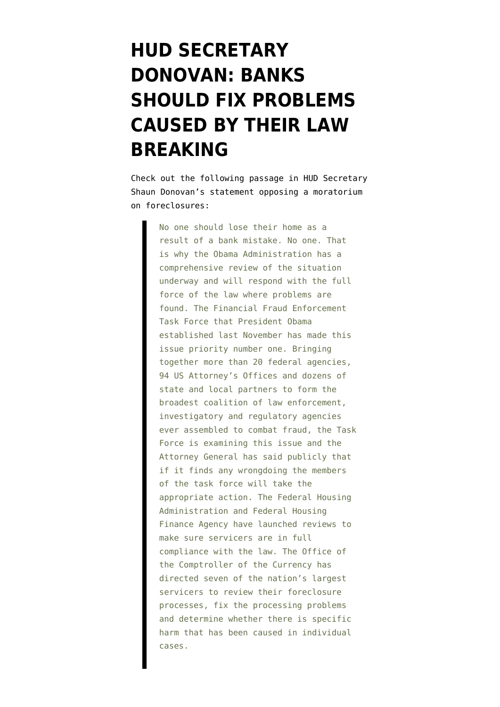## **[HUD SECRETARY](https://www.emptywheel.net/2010/10/17/hud-secretary-donovan-banks-should-fix-problems-caused-by-their-law-breaking/) [DONOVAN: BANKS](https://www.emptywheel.net/2010/10/17/hud-secretary-donovan-banks-should-fix-problems-caused-by-their-law-breaking/) [SHOULD FIX PROBLEMS](https://www.emptywheel.net/2010/10/17/hud-secretary-donovan-banks-should-fix-problems-caused-by-their-law-breaking/) [CAUSED BY THEIR LAW](https://www.emptywheel.net/2010/10/17/hud-secretary-donovan-banks-should-fix-problems-caused-by-their-law-breaking/) [BREAKING](https://www.emptywheel.net/2010/10/17/hud-secretary-donovan-banks-should-fix-problems-caused-by-their-law-breaking/)**

Check out the following passage in [HUD Secretary](http://www.huffingtonpost.com/shaun-donovan/how-we-can-really-help-fa_b_765528.html) [Shaun Donovan's statement](http://www.huffingtonpost.com/shaun-donovan/how-we-can-really-help-fa_b_765528.html) opposing a moratorium on foreclosures:

> No one should lose their home as a result of a bank mistake. No one. That is why the Obama Administration has a comprehensive review of the situation underway and will respond with the full force of the law where problems are found. The Financial Fraud Enforcement Task Force that President Obama established last November has made this issue priority number one. Bringing together more than 20 federal agencies, 94 US Attorney's Offices and dozens of state and local partners to form the broadest coalition of law enforcement, investigatory and regulatory agencies ever assembled to combat fraud, the Task Force is examining this issue and the Attorney General has said publicly that if it finds any wrongdoing the members of the task force will take the appropriate action. The Federal Housing Administration and Federal Housing Finance Agency have launched reviews to make sure servicers are in full compliance with the law. The Office of the Comptroller of the Currency has directed seven of the nation's largest servicers to review their foreclosure processes, fix the processing problems and determine whether there is specific harm that has been caused in individual cases.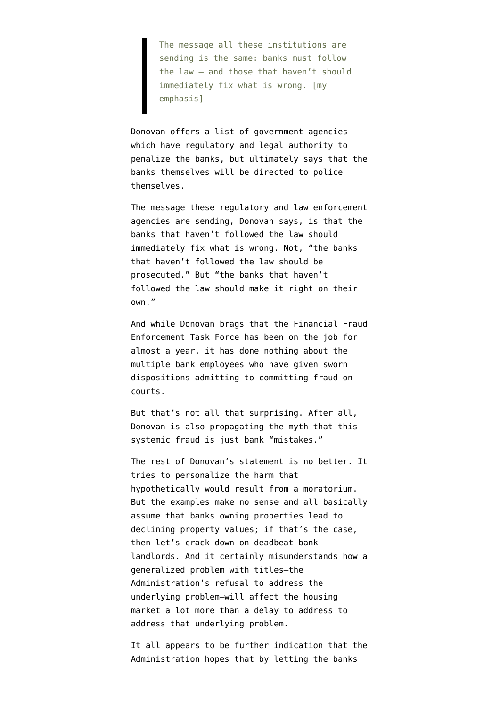The message all these institutions are sending is the same: banks must follow the law — and those that haven't should immediately fix what is wrong. [my emphasis]

Donovan offers a list of government agencies which have regulatory and legal authority to penalize the banks, but ultimately says that the banks themselves will be directed to police themselves.

The message these regulatory and law enforcement agencies are sending, Donovan says, is that the banks that haven't followed the law should immediately fix what is wrong. Not, "the banks that haven't followed the law should be prosecuted." But "the banks that haven't followed the law should make it right on their own."

And while Donovan brags that the Financial Fraud Enforcement Task Force has been on the job for almost a year, it has done nothing about the multiple bank employees who have given sworn dispositions admitting to committing fraud on courts.

But that's not all that surprising. After all, Donovan is also propagating the myth that this systemic fraud is just bank "mistakes."

The rest of Donovan's statement is no better. It tries to personalize the harm that hypothetically would result from a moratorium. But the examples make no sense and all basically assume that banks owning properties lead to declining property values; if that's the case, then let's crack down on deadbeat bank landlords. And it certainly misunderstands how a generalized problem with titles–the Administration's refusal to address the underlying problem–will affect the housing market a lot more than a delay to address to address that underlying problem.

It all appears to be further indication that the Administration hopes that by letting the banks